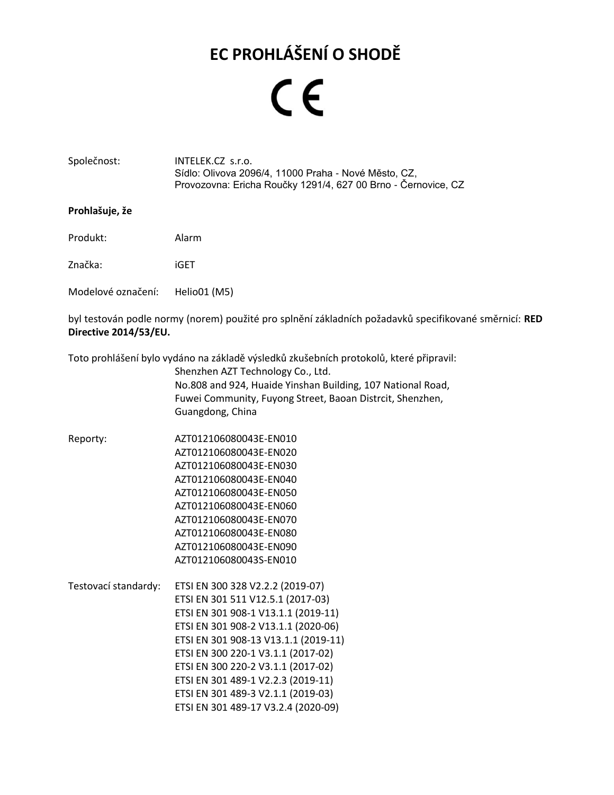## **EC PROHLÁŠENÍ O SHODĚ**

## $\epsilon$

#### <span id="page-0-0"></span>Společnost: INTELEK.CZ s.r.o. Sídlo: Olivova 2096/4, 11000 Praha - Nové Město, CZ, Provozovna: Ericha Roučky 1291/4, 627 00 Brno - Černovice, CZ

#### **Prohlašuje, že**

Produkt: Alarm

<span id="page-0-1"></span>Značka: iGET

Modelové označení: Helio01 (M5)

byl testován podle normy (norem) použité pro splnění základních požadavků specifikované směrnicí: **RED Directive 2014/53/EU.**

<span id="page-0-3"></span>Toto prohlášení bylo vydáno na základě výsledků zkušebních protokolů, které připravil:

<span id="page-0-4"></span><span id="page-0-2"></span>Shenzhen AZT Technology Co., Ltd. No.808 and 924, Huaide Yinshan Building, 107 National Road, Fuwei Community, Fuyong Street, Baoan Distrcit, Shenzhen, Guangdong, China

- Reporty: AZT012106080043E-EN010 AZT012106080043E-EN020 AZT012106080043E-EN030 AZT012106080043E-EN040 AZT012106080043E-EN050 AZT012106080043E-EN060 AZT012106080043E-EN070 AZT012106080043E-EN080 AZT012106080043E-EN090 AZT012106080043S-EN010
- <span id="page-0-5"></span>Testovací standardy: ETSI EN 300 328 V2.2.2 (2019-07) ETSI EN 301 511 V12.5.1 (2017-03) ETSI EN 301 908-1 V13.1.1 (2019-11) ETSI EN 301 908-2 V13.1.1 (2020-06) ETSI EN 301 908-13 V13.1.1 (2019-11) ETSI EN 300 220-1 V3.1.1 (2017-02) ETSI EN 300 220-2 V3.1.1 (2017-02) ETSI EN 301 489-1 V2.2.3 (2019-11) ETSI EN 301 489-3 V2.1.1 (2019-03) ETSI EN 301 489-17 V3.2.4 (2020-09)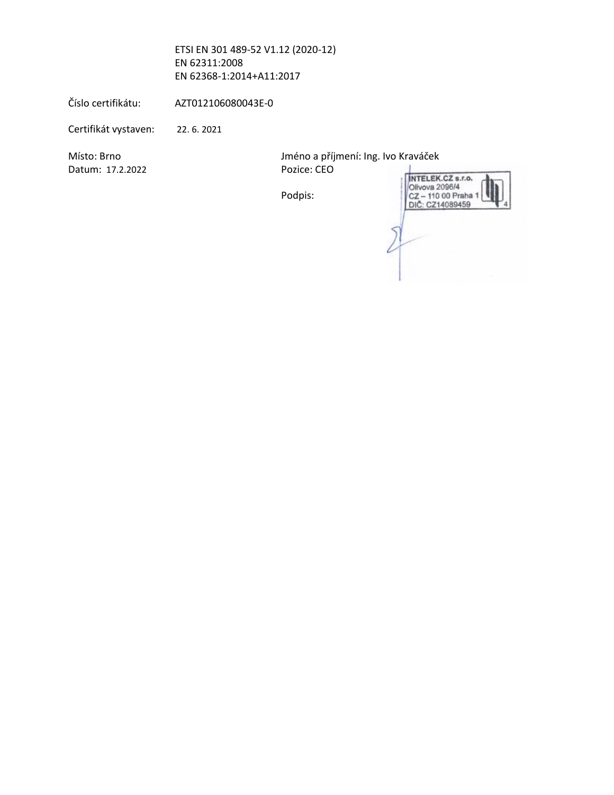<span id="page-1-1"></span><span id="page-1-0"></span>ETSI EN 301 489-52 V1.12 (2020-12) EN 62311:2008 EN 62368-1:2014+A11:2017

Číslo certifikátu: AZT012106080043E-0

Certifikát vystaven: 22. 6. 2021

<span id="page-1-2"></span>Datum: 17.2.2022 Pozice: CEO

Místo: Brno Jméno a příjmení: Ing. Ivo Kraváček

Podpis:

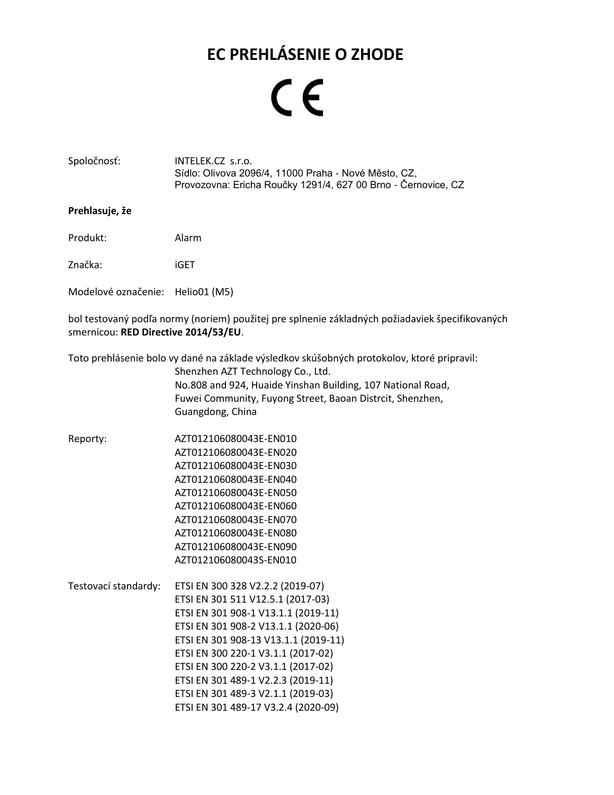### **EC PREHLÁSENIE O ZHODE**

## $\epsilon$

#### Spoločnosť: [INTELEK.CZ](#page-0-0) s.r.o. [Sídlo: Olivova 2096/4, 11000 Praha -](#page-0-0) Nové Město, CZ, [Provozovna: Ericha Roučky 1291/4, 627 00 Brno -](#page-0-0) Černovice, CZ

#### **Prehlasuje, že**

Produkt: Alarm

Značka: [iGET](#page-0-1)

[Modelové označenie](#page-0-2): [Helio01 \(M5\)](#page-0-2)

bol testovaný podľa normy (noriem) použitej pre splnenie základných požiadaviek špecifikovaných smernicou: **RED Directive 2014/53/EU**.

Toto prehlásenie bolo vy dané na základe výsledkov skúšobných protokolov, ktoré pripravil:

[Shenzhen AZT Technology Co., Ltd.](#page-0-3) [No.808 and 924, Huaide Yinshan Building, 107 National Road,](#page-0-3)  [Fuwei Community, Fuyong Street, Baoan Distrcit, Shenzhen,](#page-0-3)  [Guangdong, China](#page-0-3)

- Reporty: [AZT012106080043E-EN010](#page-0-4) [AZT012106080043E-EN020](#page-0-4) [AZT012106080043E-EN030](#page-0-4) [AZT012106080043E-EN040](#page-0-4) [AZT012106080043E-EN050](#page-0-4) [AZT012106080043E-EN060](#page-0-4) [AZT012106080043E-EN070](#page-0-4) [AZT012106080043E-EN080](#page-0-4) [AZT012106080043E-EN090](#page-0-4) [AZT012106080043S-EN010](#page-0-4)
- Testovací standardy: ETSI EN 300 [328 V2.2.2 \(2019-07\)](#page-0-5) ETSI EN 301 [511 V12.5.1 \(2017-03\)](#page-0-5) [ETSI EN 301 908-1 V13.1.1](#page-0-5) (2019-11) ETSI EN 301 [908-2 V13.1.1](#page-0-5) (2020-06) ETSI EN 301 [908-13 V13.1.1 \(2019-11\)](#page-0-5) ETSI EN 300 [220-1 V3.1.1 \(2017-02\)](#page-0-5) ETSI EN 300 [220-2 V3.1.1 \(2017-02\)](#page-0-5) ETSI EN 301 [489-1 V2.2.3 \(2019-11\)](#page-0-5) ETSI EN 301 [489-3 V2.1.1 \(2019-03\)](#page-0-5) ETSI EN 301 [489-17 V3.2.4 \(2020-09\)](#page-0-5)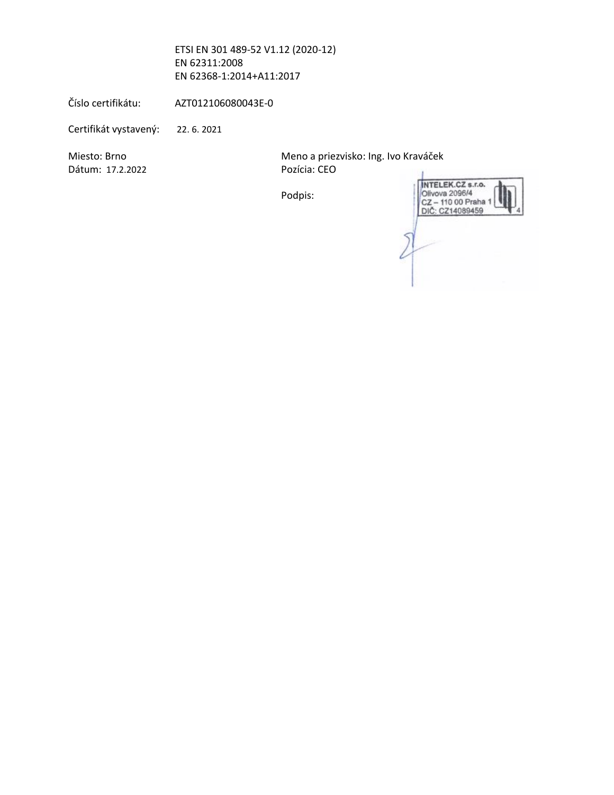ETSI EN 301 [489-52 V1.12 \(2020-12\)](#page-0-5) [EN 62311:2008](#page-0-5) [EN 62368-1:2014+A11:2017](#page-0-5)

Číslo certifikátu: [AZT012106080043E-0](#page-1-0)

Certifikát vystavený: [22. 6.](#page-1-1) 2021

Dátum: [17.2.2022](#page-1-2) Pozícia: CEO

Miesto: Brno **Miesto: Brno Australia** Meno a priezvisko: Ing. Ivo Kraváček

Podpis:

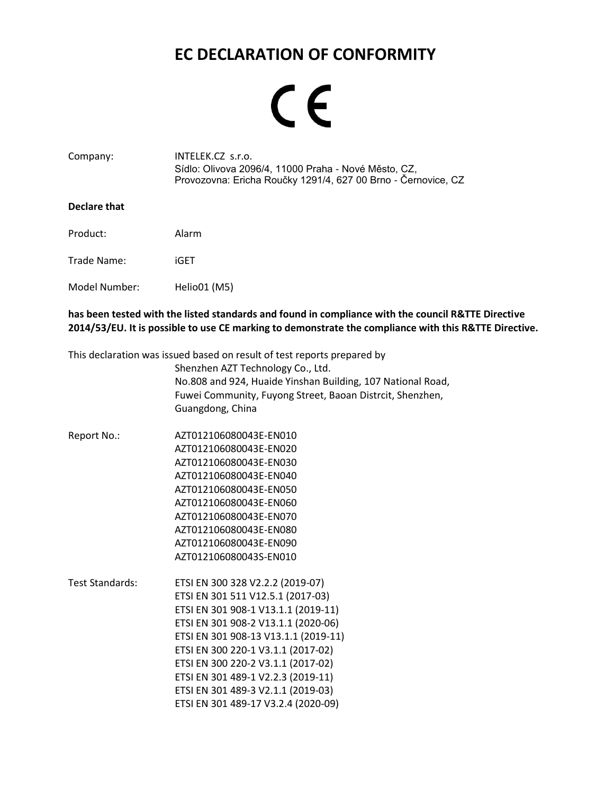### **EC DECLARATION OF CONFORMITY**

# CE

| Company: | INTELEK.CZ s.r.o.                                             |
|----------|---------------------------------------------------------------|
|          | Sídlo: Olivova 2096/4, 11000 Praha - Nové Město, CZ,          |
|          | Provozovna: Ericha Roučky 1291/4, 627 00 Brno - Černovice, CZ |

#### **Declare that**

Product: Alarm

Trade Name: [iGET](#page-0-1)

Model Number: [Helio01 \(M5\)](#page-0-2)

**has been tested with the listed standards and found in compliance with the council R&TTE Directive 2014/53/EU. It is possible to use CE marking to demonstrate the compliance with this R&TTE Directive.**

This declaration was issued based on result of test reports prepared by

[Shenzhen AZT Technology Co., Ltd.](#page-0-3) [No.808 and 924, Huaide Yinshan Building, 107 National Road,](#page-0-3)  [Fuwei Community, Fuyong Street, Baoan Distrcit, Shenzhen,](#page-0-3)  [Guangdong, China](#page-0-3)

- Report No.: [AZT012106080043E-EN010](#page-0-4) [AZT012106080043E-EN020](#page-0-4) [AZT012106080043E-EN030](#page-0-4) [AZT012106080043E-EN040](#page-0-4) [AZT012106080043E-EN050](#page-0-4) [AZT012106080043E-EN060](#page-0-4) [AZT012106080043E-EN070](#page-0-4) [AZT012106080043E-EN080](#page-0-4) [AZT012106080043E-EN090](#page-0-4) [AZT012106080043S-EN010](#page-0-4)
- Test Standards: ETSI EN 300 [328 V2.2.2 \(2019-07\)](#page-0-5) ETSI EN 301 [511 V12.5.1 \(2017-03\)](#page-0-5) [ETSI EN 301 908-1 V13.1.1](#page-0-5) (2019-11) ETSI EN 301 [908-2 V13.1.1](#page-0-5) (2020-06) ETSI EN 301 [908-13 V13.1.1 \(2019-11\)](#page-0-5) ETSI EN 300 [220-1 V3.1.1 \(2017-02\)](#page-0-5) ETSI EN 300 [220-2 V3.1.1 \(2017-02\)](#page-0-5) ETSI EN 301 [489-1 V2.2.3 \(2019-11\)](#page-0-5) ETSI EN 301 [489-3 V2.1.1 \(2019-03\)](#page-0-5) ETSI EN 301 [489-17 V3.2.4 \(2020-09\)](#page-0-5)